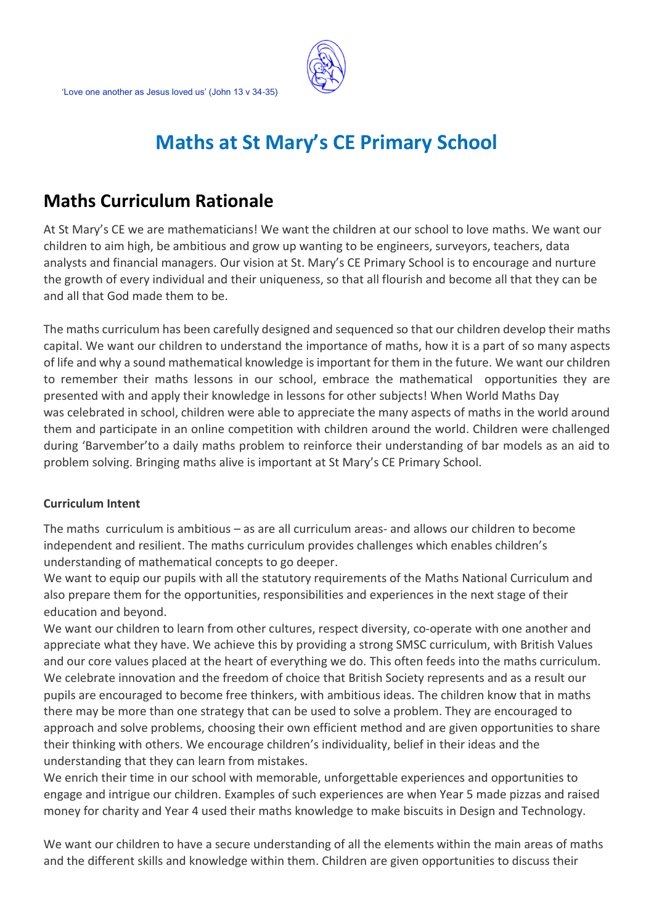

# **Maths at St Mary's CE Primary School**

# **Maths Curriculum Rationale**

At St Mary's CE we are mathematicians! We want the children at our school to love maths. We want our children to aim high, be ambitious and grow up wanting to be engineers, surveyors, teachers, data analysts and financial managers. Our vision at St. Mary's CE Primary School is to encourage and nurture the growth of every individual and their uniqueness, so that all flourish and become all that they can be and all that God made them to be.

The maths curriculum has been carefully designed and sequenced so that our children develop their maths capital. We want our children to understand the importance of maths, how it is a part of so many aspects of life and why a sound mathematical knowledge is important for them in the future. We want our children to remember their maths lessons in our school, embrace the mathematical opportunities they are presented with and apply their knowledge in lessons for other subjects! When World Maths Day was celebrated in school, children were able to appreciate the many aspects of maths in the world around them and participate in an online competition with children around the world. Children were challenged during 'Barvember'to a daily maths problem to reinforce their understanding of bar models as an aid to problem solving. Bringing maths alive is important at St Mary's CE Primary School.

# **Curriculum Intent**

The maths curriculum is ambitious – as are all curriculum areas- and allows our children to become independent and resilient. The maths curriculum provides challenges which enables children's understanding of mathematical concepts to go deeper.

We want to equip our pupils with all the statutory requirements of the Maths National Curriculum and also prepare them for the opportunities, responsibilities and experiences in the next stage of their education and beyond.

We want our children to learn from other cultures, respect diversity, co-operate with one another and appreciate what they have. We achieve this by providing a strong SMSC curriculum, with British Values and our core values placed at the heart of everything we do. This often feeds into the maths curriculum. We celebrate innovation and the freedom of choice that British Society represents and as a result our pupils are encouraged to become free thinkers, with ambitious ideas. The children know that in maths there may be more than one strategy that can be used to solve a problem. They are encouraged to approach and solve problems, choosing their own efficient method and are given opportunities to share their thinking with others. We encourage children's individuality, belief in their ideas and the understanding that they can learn from mistakes.

We enrich their time in our school with memorable, unforgettable experiences and opportunities to engage and intrigue our children. Examples of such experiences are when Year 5 made pizzas and raised money for charity and Year 4 used their maths knowledge to make biscuits in Design and Technology.

We want our children to have a secure understanding of all the elements within the main areas of maths and the different skills and knowledge within them. Children are given opportunities to discuss their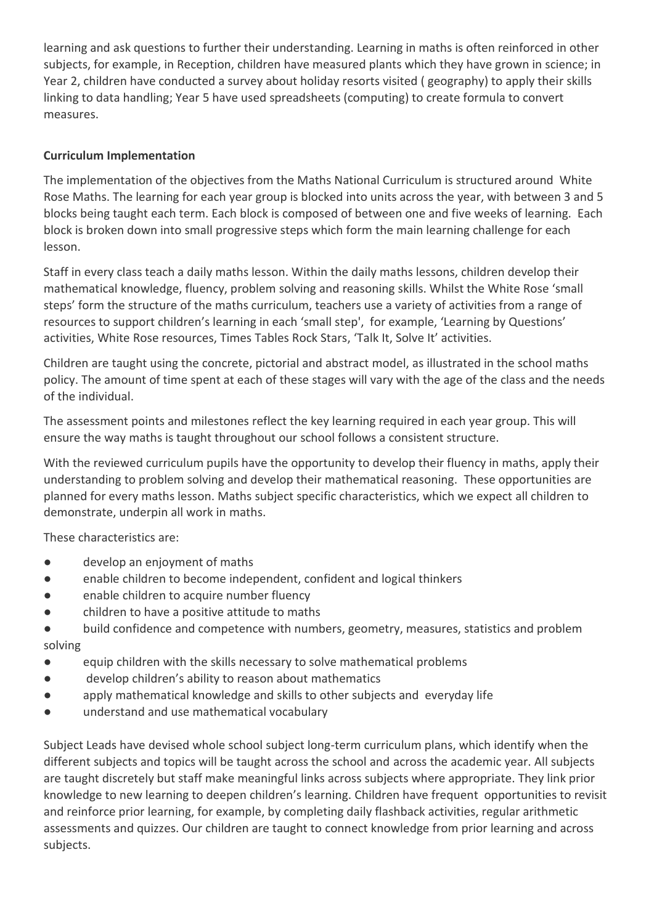learning and ask questions to further their understanding. Learning in maths is often reinforced in other subjects, for example, in Reception, children have measured plants which they have grown in science; in Year 2, children have conducted a survey about holiday resorts visited ( geography) to apply their skills linking to data handling; Year 5 have used spreadsheets (computing) to create formula to convert measures.

# **Curriculum Implementation**

The implementation of the objectives from the Maths National Curriculum is structured around White Rose Maths. The learning for each year group is blocked into units across the year, with between 3 and 5 blocks being taught each term. Each block is composed of between one and five weeks of learning. Each block is broken down into small progressive steps which form the main learning challenge for each lesson.

Staff in every class teach a daily maths lesson. Within the daily maths lessons, children develop their mathematical knowledge, fluency, problem solving and reasoning skills. Whilst the White Rose 'small steps' form the structure of the maths curriculum, teachers use a variety of activities from a range of resources to support children's learning in each 'small step', for example, 'Learning by Questions' activities, White Rose resources, Times Tables Rock Stars, 'Talk It, Solve It' activities.

Children are taught using the concrete, pictorial and abstract model, as illustrated in the school maths policy. The amount of time spent at each of these stages will vary with the age of the class and the needs of the individual.

The assessment points and milestones reflect the key learning required in each year group. This will ensure the way maths is taught throughout our school follows a consistent structure.

With the reviewed curriculum pupils have the opportunity to develop their fluency in maths, apply their understanding to problem solving and develop their mathematical reasoning. These opportunities are planned for every maths lesson. Maths subject specific characteristics, which we expect all children to demonstrate, underpin all work in maths.

These characteristics are:

- develop an enjoyment of maths
- enable children to become independent, confident and logical thinkers
- enable children to acquire number fluency
- children to have a positive attitude to maths
- build confidence and competence with numbers, geometry, measures, statistics and problem solving
- equip children with the skills necessary to solve mathematical problems
- develop children's ability to reason about mathematics
- apply mathematical knowledge and skills to other subjects and everyday life
- understand and use mathematical vocabulary

Subject Leads have devised whole school subject long-term curriculum plans, which identify when the different subjects and topics will be taught across the school and across the academic year. All subjects are taught discretely but staff make meaningful links across subjects where appropriate. They link prior knowledge to new learning to deepen children's learning. Children have frequent opportunities to revisit and reinforce prior learning, for example, by completing daily flashback activities, regular arithmetic assessments and quizzes. Our children are taught to connect knowledge from prior learning and across subjects.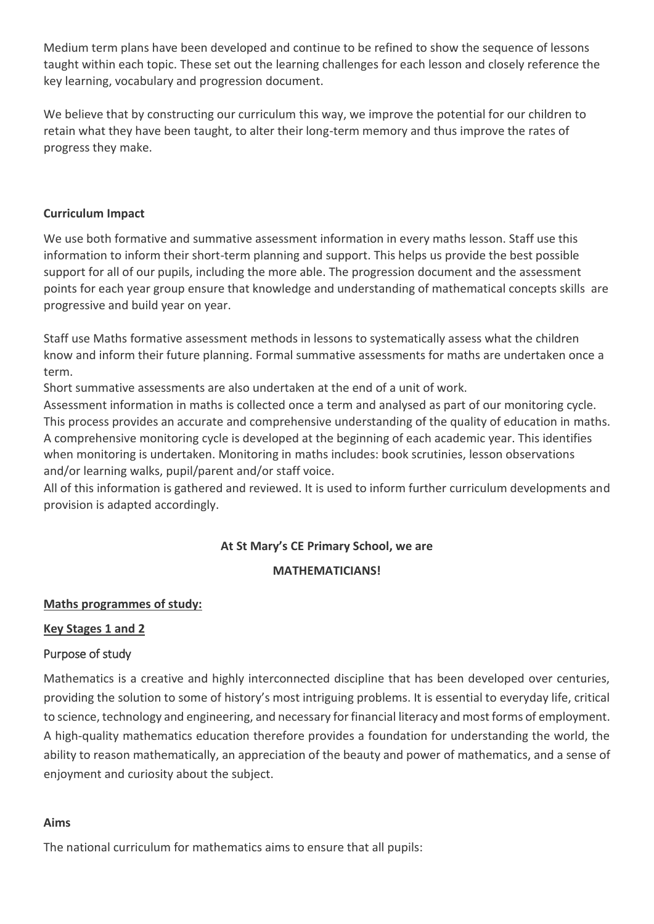Medium term plans have been developed and continue to be refined to show the sequence of lessons taught within each topic. These set out the learning challenges for each lesson and closely reference the key learning, vocabulary and progression document.

We believe that by constructing our curriculum this way, we improve the potential for our children to retain what they have been taught, to alter their long-term memory and thus improve the rates of progress they make.

#### **Curriculum Impact**

We use both formative and summative assessment information in every maths lesson. Staff use this information to inform their short-term planning and support. This helps us provide the best possible support for all of our pupils, including the more able. The progression document and the assessment points for each year group ensure that knowledge and understanding of mathematical concepts skills are progressive and build year on year.

Staff use Maths formative assessment methods in lessons to systematically assess what the children know and inform their future planning. Formal summative assessments for maths are undertaken once a term.

Short summative assessments are also undertaken at the end of a unit of work.

Assessment information in maths is collected once a term and analysed as part of our monitoring cycle. This process provides an accurate and comprehensive understanding of the quality of education in maths. A comprehensive monitoring cycle is developed at the beginning of each academic year. This identifies when monitoring is undertaken. Monitoring in maths includes: book scrutinies, lesson observations and/or learning walks, pupil/parent and/or staff voice.

All of this information is gathered and reviewed. It is used to inform further curriculum developments and provision is adapted accordingly.

# **At St Mary's CE Primary School, we are**

#### **MATHEMATICIANS!**

# **Maths programmes of study:**

# **Key Stages 1 and 2**

# Purpose of study

Mathematics is a creative and highly interconnected discipline that has been developed over centuries, providing the solution to some of history's most intriguing problems. It is essential to everyday life, critical to science, technology and engineering, and necessary for financial literacy and most forms of employment. A high-quality mathematics education therefore provides a foundation for understanding the world, the ability to reason mathematically, an appreciation of the beauty and power of mathematics, and a sense of enjoyment and curiosity about the subject.

#### **Aims**

The national curriculum for mathematics aims to ensure that all pupils: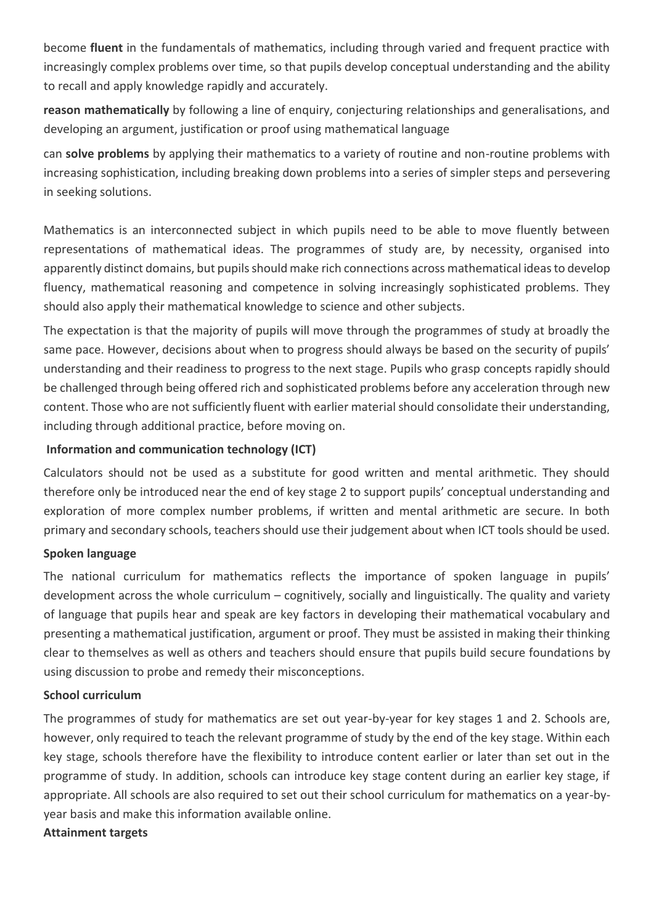become **fluent** in the fundamentals of mathematics, including through varied and frequent practice with increasingly complex problems over time, so that pupils develop conceptual understanding and the ability to recall and apply knowledge rapidly and accurately.

**reason mathematically** by following a line of enquiry, conjecturing relationships and generalisations, and developing an argument, justification or proof using mathematical language

can **solve problems** by applying their mathematics to a variety of routine and non-routine problems with increasing sophistication, including breaking down problems into a series of simpler steps and persevering in seeking solutions.

Mathematics is an interconnected subject in which pupils need to be able to move fluently between representations of mathematical ideas. The programmes of study are, by necessity, organised into apparently distinct domains, but pupils should make rich connections across mathematical ideas to develop fluency, mathematical reasoning and competence in solving increasingly sophisticated problems. They should also apply their mathematical knowledge to science and other subjects.

The expectation is that the majority of pupils will move through the programmes of study at broadly the same pace. However, decisions about when to progress should always be based on the security of pupils' understanding and their readiness to progress to the next stage. Pupils who grasp concepts rapidly should be challenged through being offered rich and sophisticated problems before any acceleration through new content. Those who are not sufficiently fluent with earlier material should consolidate their understanding, including through additional practice, before moving on.

# **Information and communication technology (ICT)**

Calculators should not be used as a substitute for good written and mental arithmetic. They should therefore only be introduced near the end of key stage 2 to support pupils' conceptual understanding and exploration of more complex number problems, if written and mental arithmetic are secure. In both primary and secondary schools, teachers should use their judgement about when ICT tools should be used.

#### **Spoken language**

The national curriculum for mathematics reflects the importance of spoken language in pupils' development across the whole curriculum – cognitively, socially and linguistically. The quality and variety of language that pupils hear and speak are key factors in developing their mathematical vocabulary and presenting a mathematical justification, argument or proof. They must be assisted in making their thinking clear to themselves as well as others and teachers should ensure that pupils build secure foundations by using discussion to probe and remedy their misconceptions.

#### **School curriculum**

The programmes of study for mathematics are set out year-by-year for key stages 1 and 2. Schools are, however, only required to teach the relevant programme of study by the end of the key stage. Within each key stage, schools therefore have the flexibility to introduce content earlier or later than set out in the programme of study. In addition, schools can introduce key stage content during an earlier key stage, if appropriate. All schools are also required to set out their school curriculum for mathematics on a year-byyear basis and make this information available online.

#### **Attainment targets**